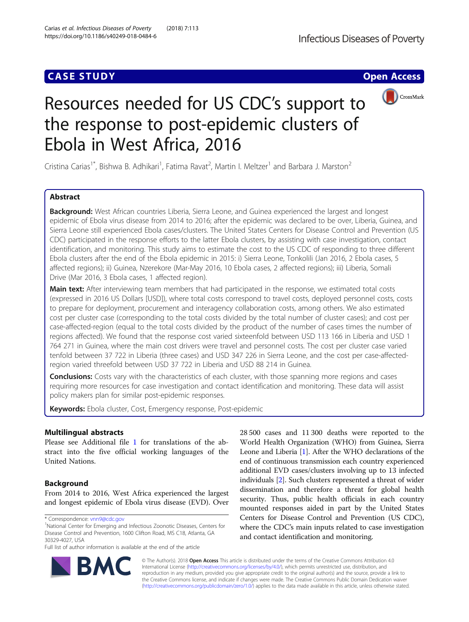

# Resources needed for US CDC's support to the response to post-epidemic clusters of Ebola in West Africa, 2016

Cristina Carias<sup>1\*</sup>, Bishwa B. Adhikari<sup>1</sup>, Fatima Ravat<sup>2</sup>, Martin I. Meltzer<sup>1</sup> and Barbara J. Marston<sup>2</sup>

# Abstract

**Background:** West African countries Liberia, Sierra Leone, and Guinea experienced the largest and longest epidemic of Ebola virus disease from 2014 to 2016; after the epidemic was declared to be over, Liberia, Guinea, and Sierra Leone still experienced Ebola cases/clusters. The United States Centers for Disease Control and Prevention (US CDC) participated in the response efforts to the latter Ebola clusters, by assisting with case investigation, contact identification, and monitoring. This study aims to estimate the cost to the US CDC of responding to three different Ebola clusters after the end of the Ebola epidemic in 2015: i) Sierra Leone, Tonkolili (Jan 2016, 2 Ebola cases, 5 affected regions); ii) Guinea, Nzerekore (Mar-May 2016, 10 Ebola cases, 2 affected regions); iii) Liberia, Somali Drive (Mar 2016, 3 Ebola cases, 1 affected region).

**Main text:** After interviewing team members that had participated in the response, we estimated total costs (expressed in 2016 US Dollars [USD]), where total costs correspond to travel costs, deployed personnel costs, costs to prepare for deployment, procurement and interagency collaboration costs, among others. We also estimated cost per cluster case (corresponding to the total costs divided by the total number of cluster cases); and cost per case-affected-region (equal to the total costs divided by the product of the number of cases times the number of regions affected). We found that the response cost varied sixteenfold between USD 113 166 in Liberia and USD 1 764 271 in Guinea, where the main cost drivers were travel and personnel costs. The cost per cluster case varied tenfold between 37 722 in Liberia (three cases) and USD 347 226 in Sierra Leone, and the cost per case-affectedregion varied threefold between USD 37 722 in Liberia and USD 88 214 in Guinea.

**Conclusions:** Costs vary with the characteristics of each cluster, with those spanning more regions and cases requiring more resources for case investigation and contact identification and monitoring. These data will assist policy makers plan for similar post-epidemic responses.

Keywords: Ebola cluster, Cost, Emergency response, Post-epidemic

# Multilingual abstracts

Please see Additional file [1](#page-5-0) for translations of the abstract into the five official working languages of the United Nations.

# Background

From 2014 to 2016, West Africa experienced the largest and longest epidemic of Ebola virus disease (EVD). Over

Full list of author information is available at the end of the article

28 500 cases and 11 300 deaths were reported to the World Health Organization (WHO) from Guinea, Sierra Leone and Liberia [[1](#page-5-0)]. After the WHO declarations of the end of continuous transmission each country experienced additional EVD cases/clusters involving up to 13 infected individuals [[2\]](#page-5-0). Such clusters represented a threat of wider dissemination and therefore a threat for global health security. Thus, public health officials in each country mounted responses aided in part by the United States Centers for Disease Control and Prevention (US CDC), where the CDC's main inputs related to case investigation and contact identification and monitoring.



© The Author(s). 2018 Open Access This article is distributed under the terms of the Creative Commons Attribution 4.0 International License [\(http://creativecommons.org/licenses/by/4.0/](http://creativecommons.org/licenses/by/4.0/)), which permits unrestricted use, distribution, and reproduction in any medium, provided you give appropriate credit to the original author(s) and the source, provide a link to the Creative Commons license, and indicate if changes were made. The Creative Commons Public Domain Dedication waiver [\(http://creativecommons.org/publicdomain/zero/1.0/](http://creativecommons.org/publicdomain/zero/1.0/)) applies to the data made available in this article, unless otherwise stated.

<sup>\*</sup> Correspondence: [vnn9@cdc.gov](mailto:vnn9@cdc.gov) <sup>1</sup>

<sup>&</sup>lt;sup>1</sup>National Center for Emerging and Infectious Zoonotic Diseases, Centers for Disease Control and Prevention, 1600 Clifton Road, MS C18, Atlanta, GA 30329-4027, USA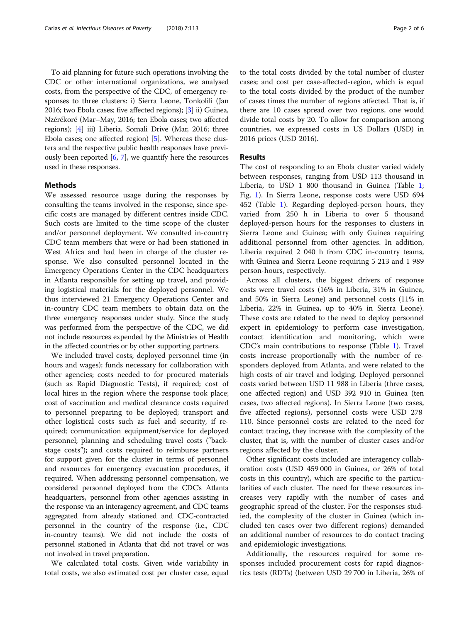To aid planning for future such operations involving the CDC or other international organizations, we analysed costs, from the perspective of the CDC, of emergency responses to three clusters: i) Sierra Leone, Tonkolili (Jan 2016; two Ebola cases; five affected regions); [\[3](#page-5-0)] ii) Guinea, Nzérékoré (Mar–May, 2016; ten Ebola cases; two affected regions); [\[4](#page-5-0)] iii) Liberia, Somali Drive (Mar, 2016; three Ebola cases; one affected region) [\[5](#page-5-0)]. Whereas these clusters and the respective public health responses have previously been reported  $[6, 7]$  $[6, 7]$  $[6, 7]$  $[6, 7]$ , we quantify here the resources used in these responses.

## **Methods**

We assessed resource usage during the responses by consulting the teams involved in the response, since specific costs are managed by different centres inside CDC. Such costs are limited to the time scope of the cluster and/or personnel deployment. We consulted in-country CDC team members that were or had been stationed in West Africa and had been in charge of the cluster response. We also consulted personnel located in the Emergency Operations Center in the CDC headquarters in Atlanta responsible for setting up travel, and providing logistical materials for the deployed personnel. We thus interviewed 21 Emergency Operations Center and in-country CDC team members to obtain data on the three emergency responses under study. Since the study was performed from the perspective of the CDC, we did not include resources expended by the Ministries of Health in the affected countries or by other supporting partners.

We included travel costs; deployed personnel time (in hours and wages); funds necessary for collaboration with other agencies; costs needed to for procured materials (such as Rapid Diagnostic Tests), if required; cost of local hires in the region where the response took place; cost of vaccination and medical clearance costs required to personnel preparing to be deployed; transport and other logistical costs such as fuel and security, if required; communication equipment/service for deployed personnel; planning and scheduling travel costs ("backstage costs"); and costs required to reimburse partners for support given for the cluster in terms of personnel and resources for emergency evacuation procedures, if required. When addressing personnel compensation, we considered personnel deployed from the CDC's Atlanta headquarters, personnel from other agencies assisting in the response via an interagency agreement, and CDC teams aggregated from already stationed and CDC-contracted personnel in the country of the response (i.e., CDC in-country teams). We did not include the costs of personnel stationed in Atlanta that did not travel or was not involved in travel preparation.

We calculated total costs. Given wide variability in total costs, we also estimated cost per cluster case, equal to the total costs divided by the total number of cluster cases; and cost per case-affected-region, which is equal to the total costs divided by the product of the number of cases times the number of regions affected. That is, if there are 10 cases spread over two regions, one would divide total costs by 20. To allow for comparison among countries, we expressed costs in US Dollars (USD) in 2016 prices (USD 2016).

## Results

The cost of responding to an Ebola cluster varied widely between responses, ranging from USD 113 thousand in Liberia, to USD 1 800 thousand in Guinea (Table [1](#page-2-0); Fig. [1\)](#page-4-0). In Sierra Leone, response costs were USD 694 452 (Table [1](#page-2-0)). Regarding deployed-person hours, they varied from 250 h in Liberia to over 5 thousand deployed-person hours for the responses to clusters in Sierra Leone and Guinea; with only Guinea requiring additional personnel from other agencies. In addition, Liberia required 2 040 h from CDC in-country teams, with Guinea and Sierra Leone requiring 5 213 and 1 989 person-hours, respectively.

Across all clusters, the biggest drivers of response costs were travel costs (16% in Liberia, 31% in Guinea, and 50% in Sierra Leone) and personnel costs (11% in Liberia, 22% in Guinea, up to 40% in Sierra Leone). These costs are related to the need to deploy personnel expert in epidemiology to perform case investigation, contact identification and monitoring, which were CDC's main contributions to response (Table [1](#page-2-0)). Travel costs increase proportionally with the number of responders deployed from Atlanta, and were related to the high costs of air travel and lodging. Deployed personnel costs varied between USD 11 988 in Liberia (three cases, one affected region) and USD 392 910 in Guinea (ten cases, two affected regions). In Sierra Leone (two cases, five affected regions), personnel costs were USD 278 110. Since personnel costs are related to the need for contact tracing, they increase with the complexity of the cluster, that is, with the number of cluster cases and/or regions affected by the cluster.

Other significant costs included are interagency collaboration costs (USD 459 000 in Guinea, or 26% of total costs in this country), which are specific to the particularities of each cluster. The need for these resources increases very rapidly with the number of cases and geographic spread of the cluster. For the responses studied, the complexity of the cluster in Guinea (which included ten cases over two different regions) demanded an additional number of resources to do contact tracing and epidemiologic investigations.

Additionally, the resources required for some responses included procurement costs for rapid diagnostics tests (RDTs) (between USD 29 700 in Liberia, 26% of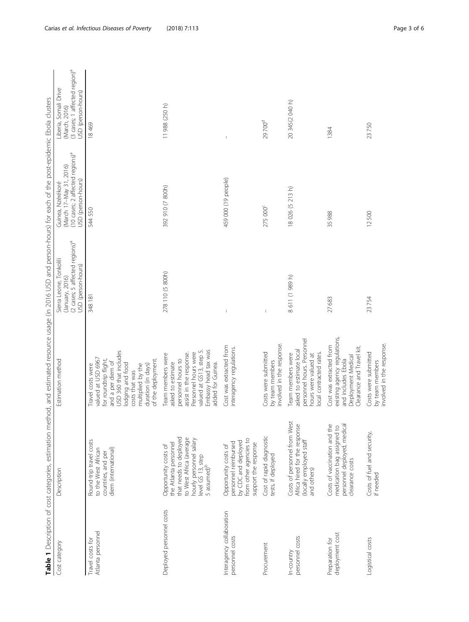<span id="page-2-0"></span>

|                                              |                                                                                                                                                                               | Table 1 Description of cost categories, estimation method, and estimated resource usage (in 2016 USD and person-hours) for each of the post-epidemic Ebola clusters                                                   |                                                                                                               |                                                                                                                   |                                                                                                           |
|----------------------------------------------|-------------------------------------------------------------------------------------------------------------------------------------------------------------------------------|-----------------------------------------------------------------------------------------------------------------------------------------------------------------------------------------------------------------------|---------------------------------------------------------------------------------------------------------------|-------------------------------------------------------------------------------------------------------------------|-----------------------------------------------------------------------------------------------------------|
| Cost category                                | Description                                                                                                                                                                   | Estimation method                                                                                                                                                                                                     | (2 cases; 5 affected regions) <sup>a</sup><br>Sierra Leone, Tonkolil<br>USD (person-hours)<br>(January, 2016) | (10 cases; 2 affected regions) <sup>a</sup><br>(March 17-May 31, 2016)<br>USD (person-hours)<br>Guinea, Nzérékoré | (3 cases; 1 affected region) <sup>a</sup><br>Liberia, Somali Drive<br>JSD (person-hours)<br>(March, 2016) |
| Atlanta personnel<br>Travel costs for        | Round-trip travel costs<br>diem (international)<br>to the West African<br>countries, and per                                                                                  | USD 360 that includes<br>valued at USD 6967<br>of the deployment.<br>for roundtrip flight,<br>and a per diem of<br>lodging and food<br>multiplied by the<br>Travel costs were<br>duration (in days)<br>costs that was | 348 181                                                                                                       | 544 550                                                                                                           | 18469                                                                                                     |
| Deployed personnel costs                     | that needs to deployed<br>to West Africa (average<br>hourly personnel salary<br>the Atlanta personnel<br>Opportunity costs of<br>level GS 13, step<br>5 assumed) <sup>b</sup> | Embassy head tax was<br>valued at GS13, step 5<br>Personnel hours were<br>assist in the response<br>Team members were<br>personnel hours to<br>added for Guinea.<br>asked to estimate                                 | 278 110 (5 800h)                                                                                              | 392 910 (7 800h)                                                                                                  | 11 988 (250 h)                                                                                            |
| Interagency collaboration<br>personnel costs | from other agencies to<br>by CDC and deployed<br>personnel reimbursed<br>support the response<br>Opportunity costs of                                                         | Cost was extracted from<br>interagency regulations                                                                                                                                                                    | $\overline{\phantom{a}}$                                                                                      | 459000 (19 people)                                                                                                | $\overline{1}$                                                                                            |
| Procurement                                  | Cost of rapid diagnostic<br>tests, if deployed                                                                                                                                | involved in the response<br>Costs were submitted<br>by team members                                                                                                                                                   | I                                                                                                             | 275 000 <sup>c</sup>                                                                                              | 29700 <sup>d</sup>                                                                                        |
| personnel costs<br>In-country                | Costs of personnel from West<br>Africa hired for the response<br>(locally employed staff<br>and others)                                                                       | personnel hours. Personnel<br>asked to estimate local<br>local contracted rates.<br>Team members were<br>hours were valued at                                                                                         | 611 (1 989 h)<br>$\infty$                                                                                     | 18 026 (5 213 h)                                                                                                  | 20 345(2 040 h)                                                                                           |
| deployment cost<br>Preparation for           | Costs of vaccination and the<br>personnel deployed, medical<br>medication bag assigned to<br>clearance costs                                                                  | existing agency regulations<br>Cost was extracted from<br>Clearance and Travel kit.<br>Deployment Medical<br>and includes Ebola                                                                                       | 27683                                                                                                         | 35988                                                                                                             | 1384                                                                                                      |
| Logistical costs                             | Costs of fuel and security,<br>if needed                                                                                                                                      | involved in the response.<br>Costs were submitted<br>by team members                                                                                                                                                  | 23754                                                                                                         | 12500                                                                                                             | 23750                                                                                                     |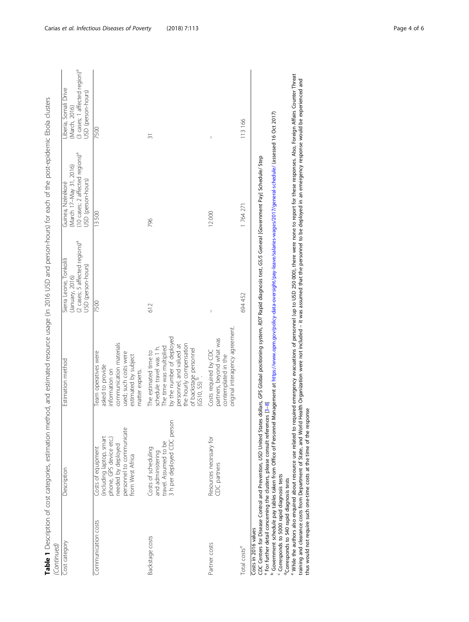| (Continued)              |                                                                                                                                                 |                                                                                                                                                                                                                         |                                                                                                                |                                                                                                       |                                                                                                          |
|--------------------------|-------------------------------------------------------------------------------------------------------------------------------------------------|-------------------------------------------------------------------------------------------------------------------------------------------------------------------------------------------------------------------------|----------------------------------------------------------------------------------------------------------------|-------------------------------------------------------------------------------------------------------|----------------------------------------------------------------------------------------------------------|
| Cost category            | Description                                                                                                                                     | Estimation method                                                                                                                                                                                                       | (2 cases; 5 affected regions) <sup>a</sup><br>Sierra Leone, Tonkolili<br>USD (person-hours)<br>(January, 2016) | (10 cases; 2 affected regions)ª<br>USD (person-hours)<br>(March 17-May 31, 2016)<br>Guinea, Nzérékoré | (3 cases; 1 affected region) <sup>a</sup><br>USD (person-hours)<br>Iberia, Somali Drive<br>(March, 2016) |
| Communication costs      | personnel to communicate<br>(including laptop, smart<br>phone, GPS device etc.)<br>needed by deployed<br>Costs of equipment<br>from West Africa | communication materials<br>eam operatives were<br>used; such costs were<br>estimated by subject<br>asked to provide<br>information on<br>matter experts.                                                                | 7500                                                                                                           | 13500                                                                                                 | 7500                                                                                                     |
| Backstage costs          | 3 h per deployed CDC person<br>travel. Assumed to be<br>Costs of scheduling<br>and administering                                                | by the number of deployed<br>the hourly compensation<br>personnel, and valued at<br>The time was multiplied<br>schedule travel was 1 h.<br>of backstage personnel<br>(GS10, SS) <sup>b</sup> .<br>The estimated time to | 612                                                                                                            | 796                                                                                                   | $\overline{3}$                                                                                           |
| Partner costs            | Resources necessary for<br>CDC partners                                                                                                         | original interagency agreement.<br>partners, beyond what was<br>Costs required by CDC<br>contemplated in the                                                                                                            |                                                                                                                | 12000                                                                                                 | I                                                                                                        |
| Total costs <sup>e</sup> |                                                                                                                                                 |                                                                                                                                                                                                                         | 694 452                                                                                                        | 1764271                                                                                               | 113166                                                                                                   |
| Costs in 2016 values     |                                                                                                                                                 |                                                                                                                                                                                                                         |                                                                                                                |                                                                                                       |                                                                                                          |

Table 1 Description of cost categories, estimation method, and estimated resource usage (in 2016 USD and person-hours) for each of the post-epidemic Ebola clusters Table 1 Description of cost categories, estimation method, and estimated resource usage (in 2016 USD and person-hours) for each of the post-epidemic Ebola clusters

CDC Centers for Disease Control and Prevention, USD United States dollars, GPS Global positioning system, RDT Rapid diagnosis test, GS/S General [Government Pay] Schedule/ Step

a c For further detail concerning the clusters, please consult references [\[3](#page-5-0)–[8\]](#page-5-0)

 Government schedule pay tables taken from Office of Personnel Management at <https://www.opm.gov/policy-data-oversight/pay-leave/salaries-wages/2017/general-schedule/> (assessed 16 Oct 2017) <sup>c</sup> Corresponds to 5000 rapid diagnosis tests

 Corresponds to 5000 rapid diagnosis tests <sup>d</sup>Corresponds to 540 rapid diagnosis tests dCorresponds to 540 rapid diagnosis tests

° While the authors also enquired about resource use related to required emergency evacuations of personnel (up to USD 250 000), there were none to report for these responses. Also, Foreign Affairs Counter Threat<br>training While the authors also enquired about resource use related to required emergency evacuations of personnel (up to USD 250 000), there were none to report for these responses. Also, Foreign Affairs Counter Threat training and clearance costs from Department of State, and World Health Organization were not included – it was assumed that the personnel to be deployed in an emergency response would be experienced and thus would not require such one-time costs at the time of the response thus would not require such one-time costs at the time of the response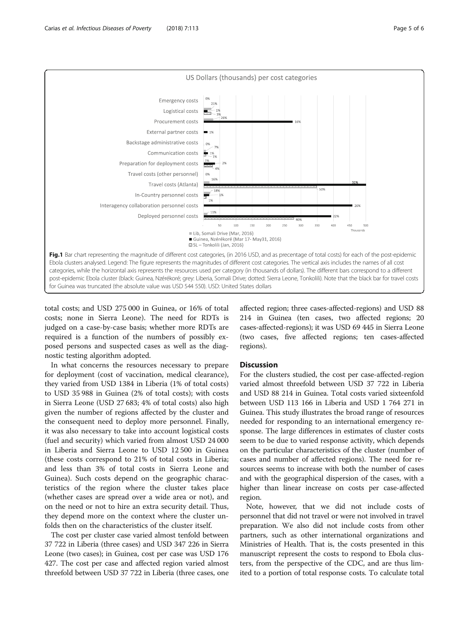<span id="page-4-0"></span>

total costs; and USD 275 000 in Guinea, or 16% of total costs; none in Sierra Leone). The need for RDTs is judged on a case-by-case basis; whether more RDTs are required is a function of the numbers of possibly exposed persons and suspected cases as well as the diagnostic testing algorithm adopted.

In what concerns the resources necessary to prepare for deployment (cost of vaccination, medical clearance), they varied from USD 1384 in Liberia (1% of total costs) to USD 35 988 in Guinea (2% of total costs); with costs in Sierra Leone (USD 27 683; 4% of total costs) also high given the number of regions affected by the cluster and the consequent need to deploy more personnel. Finally, it was also necessary to take into account logistical costs (fuel and security) which varied from almost USD 24 000 in Liberia and Sierra Leone to USD 12 500 in Guinea (these costs correspond to 21% of total costs in Liberia; and less than 3% of total costs in Sierra Leone and Guinea). Such costs depend on the geographic characteristics of the region where the cluster takes place (whether cases are spread over a wide area or not), and on the need or not to hire an extra security detail. Thus, they depend more on the context where the cluster unfolds then on the characteristics of the cluster itself.

The cost per cluster case varied almost tenfold between 37 722 in Liberia (three cases) and USD 347 226 in Sierra Leone (two cases); in Guinea, cost per case was USD 176 427. The cost per case and affected region varied almost threefold between USD 37 722 in Liberia (three cases, one

affected region; three cases-affected-regions) and USD 88 214 in Guinea (ten cases, two affected regions; 20 cases-affected-regions); it was USD 69 445 in Sierra Leone (two cases, five affected regions; ten cases-affected regions).

# **Discussion**

For the clusters studied, the cost per case-affected-region varied almost threefold between USD 37 722 in Liberia and USD 88 214 in Guinea. Total costs varied sixteenfold between USD 113 166 in Liberia and USD 1 764 271 in Guinea. This study illustrates the broad range of resources needed for responding to an international emergency response. The large differences in estimates of cluster costs seem to be due to varied response activity, which depends on the particular characteristics of the cluster (number of cases and number of affected regions). The need for resources seems to increase with both the number of cases and with the geographical dispersion of the cases, with a higher than linear increase on costs per case-affected region.

Note, however, that we did not include costs of personnel that did not travel or were not involved in travel preparation. We also did not include costs from other partners, such as other international organizations and Ministries of Health. That is, the costs presented in this manuscript represent the costs to respond to Ebola clusters, from the perspective of the CDC, and are thus limited to a portion of total response costs. To calculate total